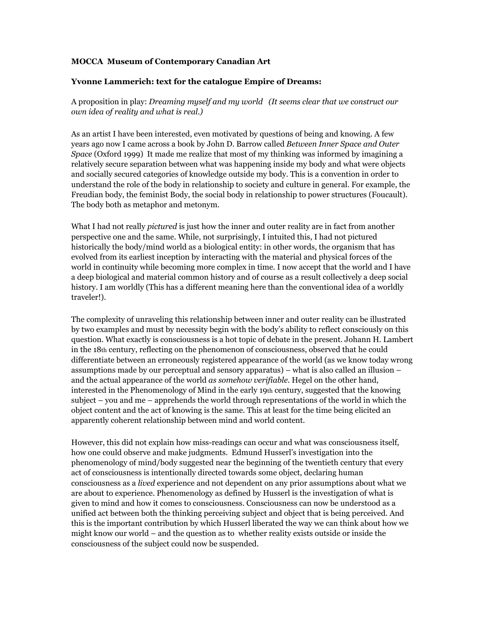## **MOCCA Museum of Contemporary Canadian Art**

## **Yvonne Lammerich: text for the catalogue Empire of Dreams:**

A proposition in play: *Dreaming myself and my world (It seems clear that we construct our own idea of reality and what is real.)*

As an artist I have been interested, even motivated by questions of being and knowing. A few years ago now I came across a book by John D. Barrow called *Between Inner Space and Outer Space* (Oxford 1999) It made me realize that most of my thinking was informed by imagining a relatively secure separation between what was happening inside my body and what were objects and socially secured categories of knowledge outside my body. This is a convention in order to understand the role of the body in relationship to society and culture in general. For example, the Freudian body, the feminist Body, the social body in relationship to power structures (Foucault). The body both as metaphor and metonym.

What I had not really *pictured* is just how the inner and outer reality are in fact from another perspective one and the same. While, not surprisingly, I intuited this, I had not pictured historically the body/mind world as a biological entity: in other words, the organism that has evolved from its earliest inception by interacting with the material and physical forces of the world in continuity while becoming more complex in time. I now accept that the world and I have a deep biological and material common history and of course as a result collectively a deep social history. I am worldly (This has a different meaning here than the conventional idea of a worldly traveler!).

The complexity of unraveling this relationship between inner and outer reality can be illustrated by two examples and must by necessity begin with the body's ability to reflect consciously on this question. What exactly is consciousness is a hot topic of debate in the present. Johann H. Lambert in the 18th century, reflecting on the phenomenon of consciousness, observed that he could differentiate between an erroneously registered appearance of the world (as we know today wrong assumptions made by our perceptual and sensory apparatus) – what is also called an illusion – and the actual appearance of the world *as somehow verifiable*. Hegel on the other hand, interested in the Phenomenology of Mind in the early 19th century, suggested that the knowing subject – you and me – apprehends the world through representations of the world in which the object content and the act of knowing is the same. This at least for the time being elicited an apparently coherent relationship between mind and world content.

However, this did not explain how miss-readings can occur and what was consciousness itself, how one could observe and make judgments. Edmund Husserl's investigation into the phenomenology of mind/body suggested near the beginning of the twentieth century that every act of consciousness is intentionally directed towards some object, declaring human consciousness as a *lived* experience and not dependent on any prior assumptions about what we are about to experience. Phenomenology as defined by Husserl is the investigation of what is given to mind and how it comes to consciousness. Consciousness can now be understood as a unified act between both the thinking perceiving subject and object that is being perceived. And this is the important contribution by which Husserl liberated the way we can think about how we might know our world – and the question as to whether reality exists outside or inside the consciousness of the subject could now be suspended.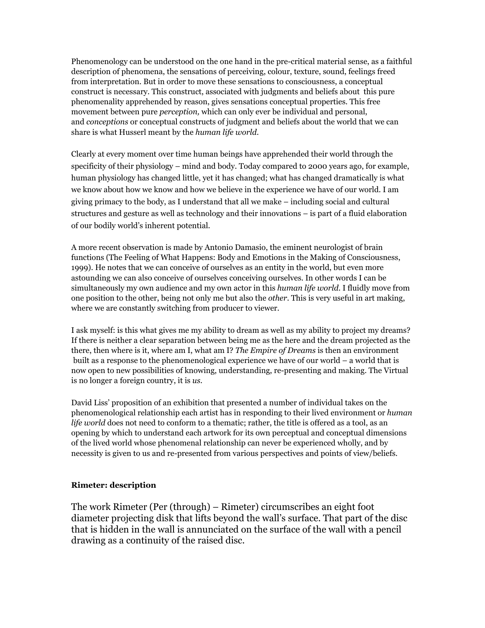Phenomenology can be understood on the one hand in the pre-critical material sense, as a faithful description of phenomena, the sensations of perceiving, colour, texture, sound, feelings freed from interpretation. But in order to move these sensations to consciousness, a conceptual construct is necessary. This construct, associated with judgments and beliefs about this pure phenomenality apprehended by reason, gives sensations conceptual properties. This free movement between pure *perception,* which can only ever be individual and personal, and *conceptions* or conceptual constructs of judgment and beliefs about the world that we can share is what Husserl meant by the *human life world.* 

Clearly at every moment over time human beings have apprehended their world through the specificity of their physiology – mind and body. Today compared to 2000 years ago, for example, human physiology has changed little, yet it has changed; what has changed dramatically is what we know about how we know and how we believe in the experience we have of our world. I am giving primacy to the body, as I understand that all we make – including social and cultural structures and gesture as well as technology and their innovations – is part of a fluid elaboration of our bodily world's inherent potential.

A more recent observation is made by Antonio Damasio, the eminent neurologist of brain functions (The Feeling of What Happens: Body and Emotions in the Making of Consciousness, 1999). He notes that we can conceive of ourselves as an entity in the world, but even more astounding we can also conceive of ourselves conceiving ourselves. In other words I can be simultaneously my own audience and my own actor in this *human life world*. I fluidly move from one position to the other, being not only me but also the *other*. This is very useful in art making, where we are constantly switching from producer to viewer.

I ask myself: is this what gives me my ability to dream as well as my ability to project my dreams? If there is neither a clear separation between being me as the here and the dream projected as the there, then where is it, where am I, what am I? *The Empire of Dreams* is then an environment built as a response to the phenomenological experience we have of our world – a world that is now open to new possibilities of knowing, understanding, re-presenting and making. The Virtual is no longer a foreign country, it is *us*.

David Liss' proposition of an exhibition that presented a number of individual takes on the phenomenological relationship each artist has in responding to their lived environment or *human life world* does not need to conform to a thematic; rather, the title is offered as a tool, as an opening by which to understand each artwork for its own perceptual and conceptual dimensions of the lived world whose phenomenal relationship can never be experienced wholly, and by necessity is given to us and re-presented from various perspectives and points of view/beliefs.

## **Rimeter: description**

The work Rimeter (Per (through) – Rimeter) circumscribes an eight foot diameter projecting disk that lifts beyond the wall's surface. That part of the disc that is hidden in the wall is annunciated on the surface of the wall with a pencil drawing as a continuity of the raised disc.